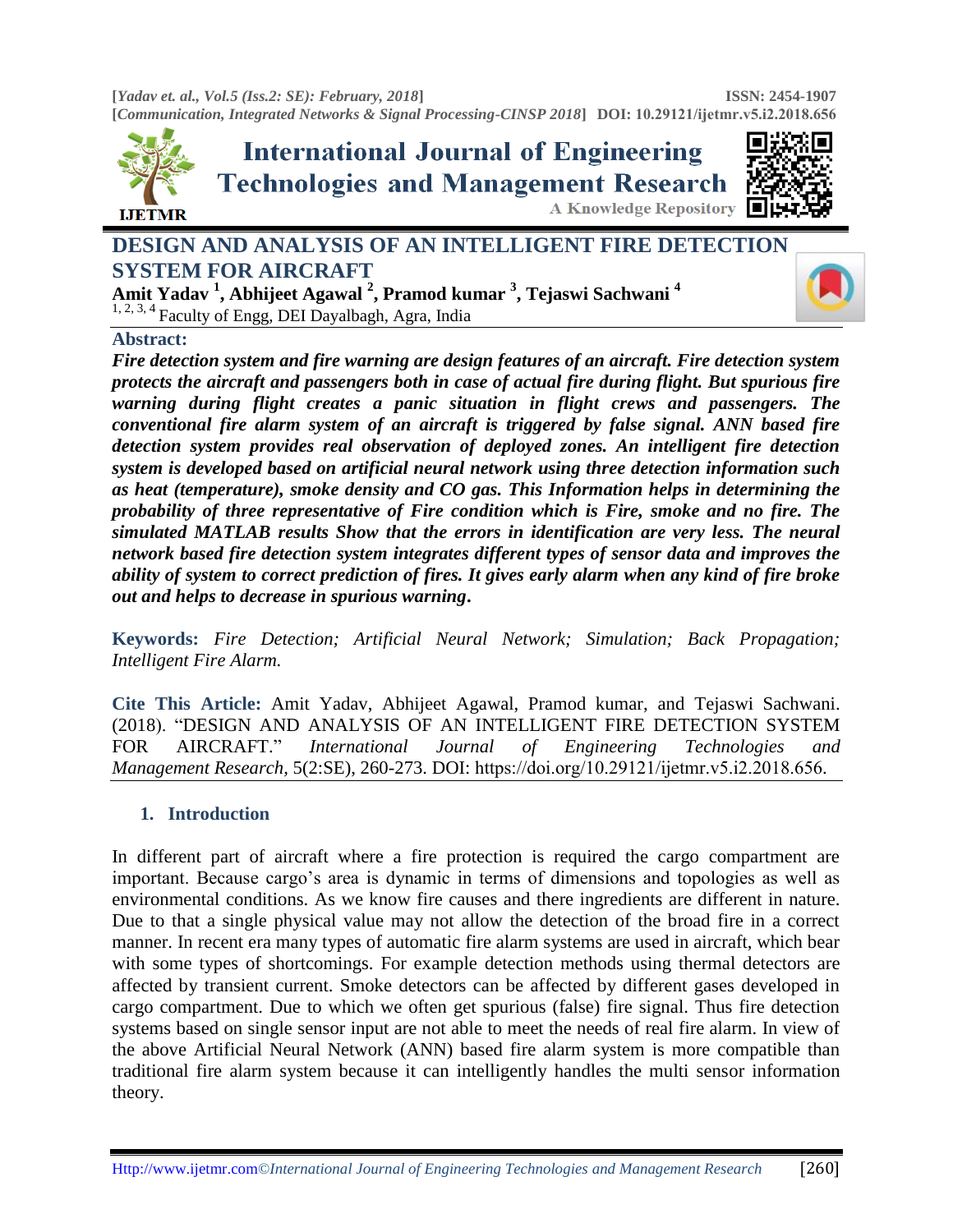**[***Yadav et. al., Vol.5 (Iss.2: SE): February, 2018***] [***Communication, Integrated Networks & Signal Processing-CINSP 2018***] DOI: [10.29121/ijetmr.](http://www.ijetmr.com/)v5.i2.2018.656 ISSN: 2454-1907** 



**Technologies and Management Research** A Knowledge Repository



# **DESIGN AND ANALYSIS OF AN INTELLIGENT FIRE DETECTION SYSTEM FOR AIRCRAFT**

**Amit Yadav <sup>1</sup> , Abhijeet Agawal <sup>2</sup> , Pramod kumar <sup>3</sup> , Tejaswi Sachwani <sup>4</sup>** 1, 2, 3, 4 Faculty of Engg, DEI Dayalbagh, Agra, India

#### **Abstract:**

**LIETMR** 

*Fire detection system and fire warning are design features of an aircraft. Fire detection system protects the aircraft and passengers both in case of actual fire during flight. But spurious fire warning during flight creates a panic situation in flight crews and passengers. The conventional fire alarm system of an aircraft is triggered by false signal. ANN based fire detection system provides real observation of deployed zones. An intelligent fire detection system is developed based on artificial neural network using three detection information such as heat (temperature), smoke density and CO gas. This Information helps in determining the probability of three representative of Fire condition which is Fire, smoke and no fire. The simulated MATLAB results Show that the errors in identification are very less. The neural network based fire detection system integrates different types of sensor data and improves the ability of system to correct prediction of fires. It gives early alarm when any kind of fire broke out and helps to decrease in spurious warning***.**

**Keywords:** *Fire Detection; Artificial Neural Network; Simulation; Back Propagation; Intelligent Fire Alarm.* 

**Cite This Article:** Amit Yadav, Abhijeet Agawal, Pramod kumar, and Tejaswi Sachwani. (2018). "DESIGN AND ANALYSIS OF AN INTELLIGENT FIRE DETECTION SYSTEM FOR AIRCRAFT." *International Journal of Engineering Technologies and Management Research,* 5(2:SE), 260-273. DOI: https://doi.org/10.29121/ijetmr.v5.i2.2018.656.

# **1. Introduction**

In different part of aircraft where a fire protection is required the cargo compartment are important. Because cargo's area is dynamic in terms of dimensions and topologies as well as environmental conditions. As we know fire causes and there ingredients are different in nature. Due to that a single physical value may not allow the detection of the broad fire in a correct manner. In recent era many types of automatic fire alarm systems are used in aircraft, which bear with some types of shortcomings. For example detection methods using thermal detectors are affected by transient current. Smoke detectors can be affected by different gases developed in cargo compartment. Due to which we often get spurious (false) fire signal. Thus fire detection systems based on single sensor input are not able to meet the needs of real fire alarm. In view of the above Artificial Neural Network (ANN) based fire alarm system is more compatible than traditional fire alarm system because it can intelligently handles the multi sensor information theory.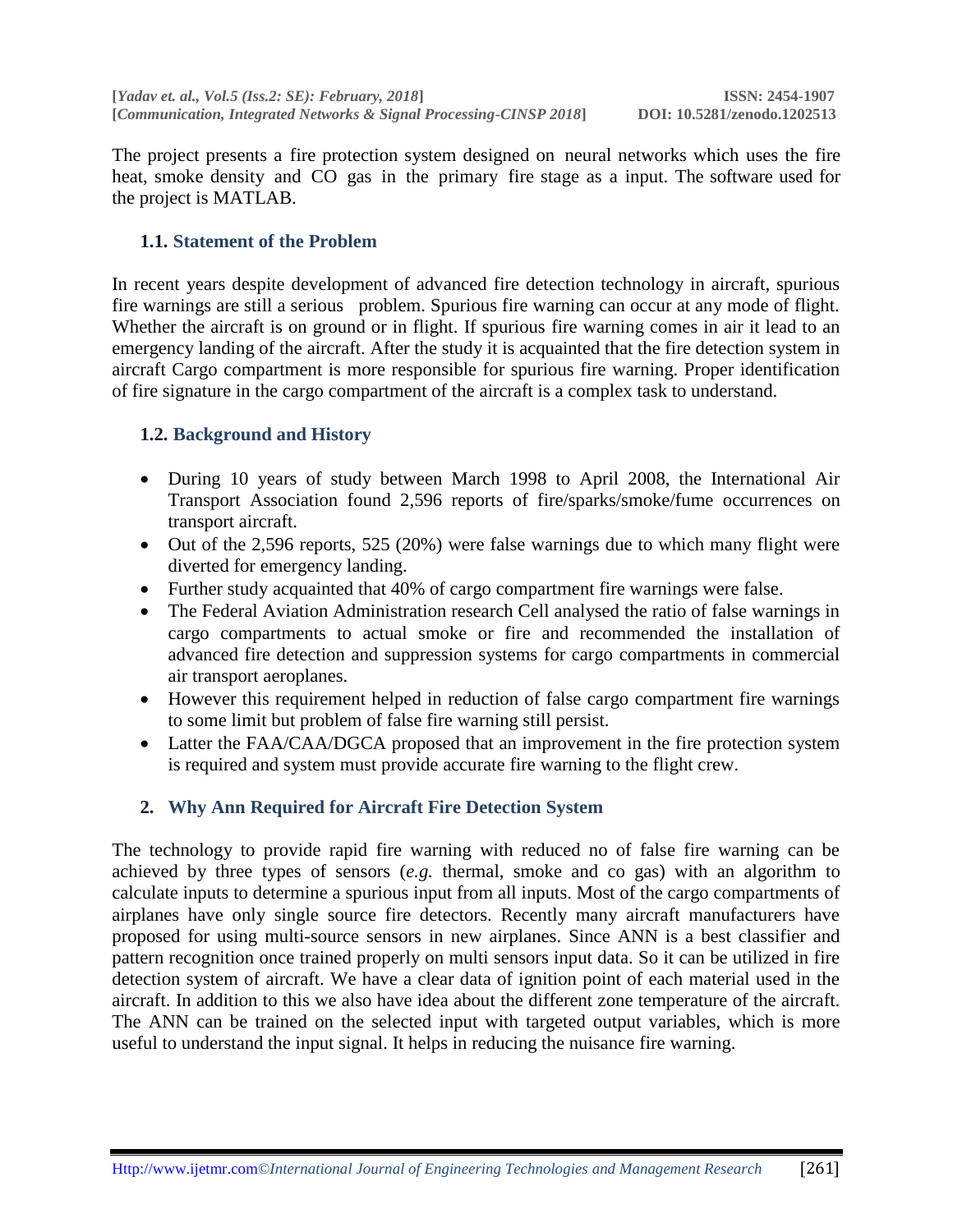The project presents a fire protection system designed on neural networks which uses the fire heat, smoke density and CO gas in the primary fire stage as a input. The software used for the project is MATLAB.

## **1.1. Statement of the Problem**

In recent years despite development of advanced fire detection technology in aircraft, spurious fire warnings are still a serious problem. Spurious fire warning can occur at any mode of flight. Whether the aircraft is on ground or in flight. If spurious fire warning comes in air it lead to an emergency landing of the aircraft. After the study it is acquainted that the fire detection system in aircraft Cargo compartment is more responsible for spurious fire warning. Proper identification of fire signature in the cargo compartment of the aircraft is a complex task to understand.

## **1.2. Background and History**

- During 10 years of study between March 1998 to April 2008, the International Air Transport Association found 2,596 reports of fire/sparks/smoke/fume occurrences on transport aircraft.
- $\bullet$  Out of the 2,596 reports, 525 (20%) were false warnings due to which many flight were diverted for emergency landing.
- Further study acquainted that 40% of cargo compartment fire warnings were false.
- The Federal Aviation Administration research Cell analysed the ratio of false warnings in cargo compartments to actual smoke or fire and recommended the installation of advanced fire detection and suppression systems for cargo compartments in commercial air transport aeroplanes.
- However this requirement helped in reduction of false cargo compartment fire warnings to some limit but problem of false fire warning still persist.
- Latter the FAA/CAA/DGCA proposed that an improvement in the fire protection system is required and system must provide accurate fire warning to the flight crew.

# **2. Why Ann Required for Aircraft Fire Detection System**

The technology to provide rapid fire warning with reduced no of false fire warning can be achieved by three types of sensors (*e.g.* thermal, smoke and co gas) with an algorithm to calculate inputs to determine a spurious input from all inputs. Most of the cargo compartments of airplanes have only single source fire detectors. Recently many aircraft manufacturers have proposed for using multi-source sensors in new airplanes. Since ANN is a best classifier and pattern recognition once trained properly on multi sensors input data. So it can be utilized in fire detection system of aircraft. We have a clear data of ignition point of each material used in the aircraft. In addition to this we also have idea about the different zone temperature of the aircraft. The ANN can be trained on the selected input with targeted output variables, which is more useful to understand the input signal. It helps in reducing the nuisance fire warning.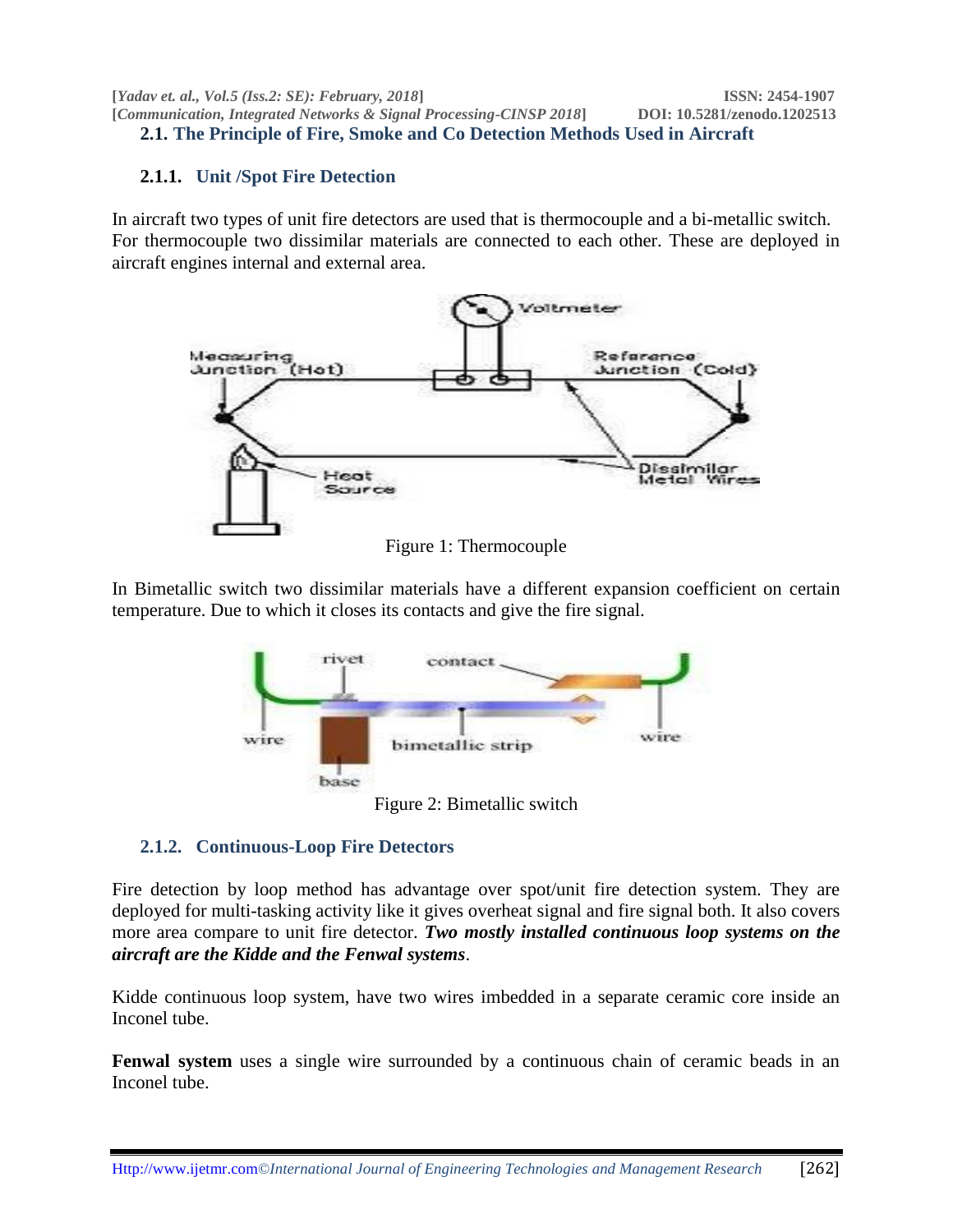**[***Yadav et. al., Vol.5 (Iss.2: SE): February, 2018***] ISSN: 2454-1907 [***Communication, Integrated Networks & Signal Processing-CINSP 2018***] DOI: 10.5281/zenodo.1202513 2.1. The Principle of Fire, Smoke and Co Detection Methods Used in Aircraft**

# **2.1.1. Unit /Spot Fire Detection**

In aircraft two types of unit fire detectors are used that is thermocouple and a bi-metallic switch. For thermocouple two dissimilar materials are connected to each other. These are deployed in aircraft engines internal and external area.



Figure 1: Thermocouple

In Bimetallic switch two dissimilar materials have a different expansion coefficient on certain temperature. Due to which it closes its contacts and give the fire signal.



# **2.1.2. Continuous-Loop Fire Detectors**

Fire detection by loop method has advantage over spot/unit fire detection system. They are deployed for multi-tasking activity like it gives overheat signal and fire signal both. It also covers more area compare to unit fire detector. *Two mostly installed continuous loop systems on the aircraft are the Kidde and the Fenwal systems*.

Kidde continuous loop system, have two wires imbedded in a separate ceramic core inside an Inconel tube.

**Fenwal system** uses a single wire surrounded by a continuous chain of ceramic beads in an Inconel tube.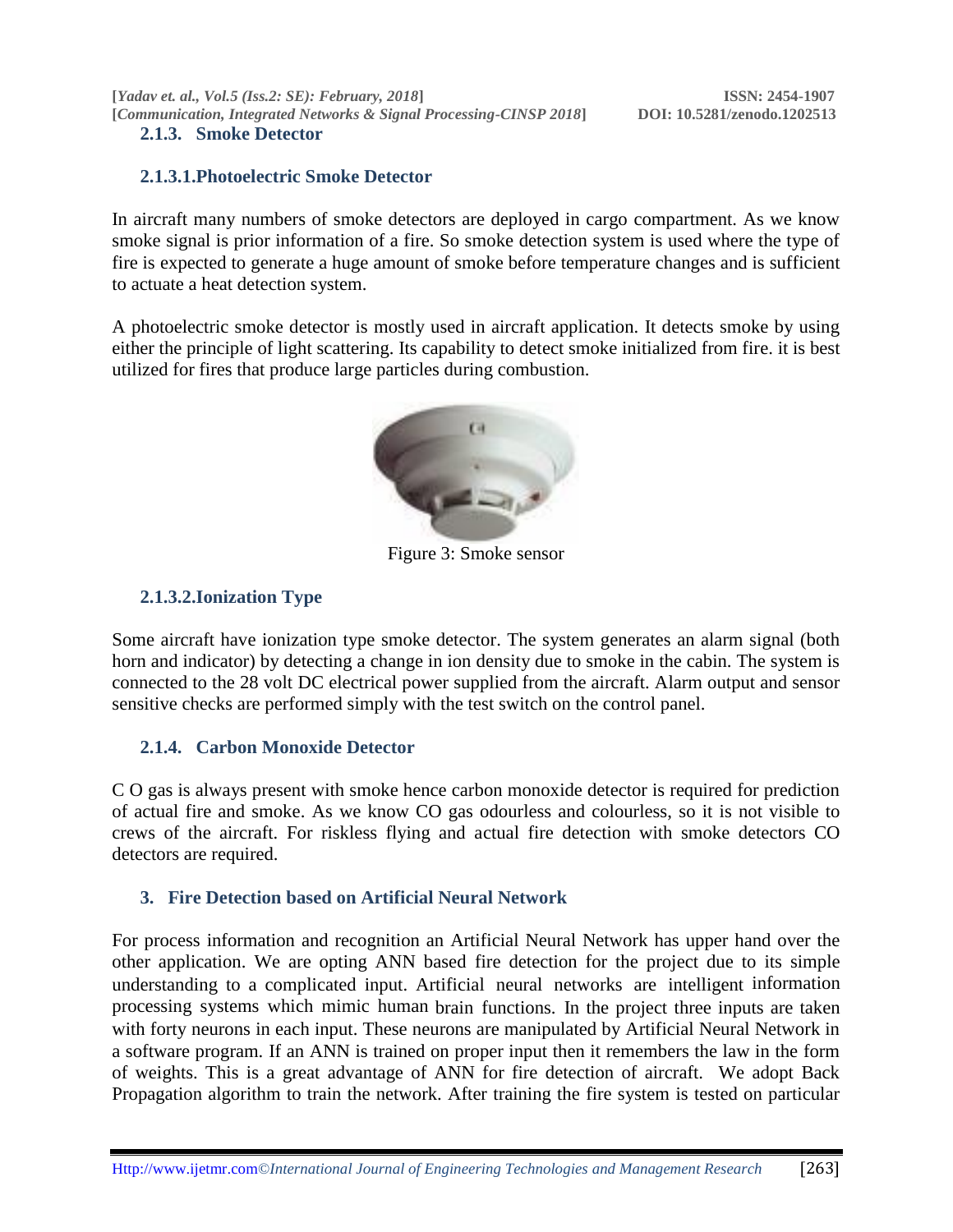**[***Yadav et. al., Vol.5 (Iss.2: SE): February, 2018***] ISSN: 2454-1907 [***Communication, Integrated Networks & Signal Processing-CINSP 2018***] DOI: 10.5281/zenodo.1202513 2.1.3. Smoke Detector**

## **2.1.3.1.Photoelectric Smoke Detector**

In aircraft many numbers of smoke detectors are deployed in cargo compartment. As we know smoke signal is prior information of a fire. So smoke detection system is used where the type of fire is expected to generate a huge amount of smoke before temperature changes and is sufficient to actuate a heat detection system.

A photoelectric smoke detector is mostly used in aircraft application. It detects smoke by using either the principle of light scattering. Its capability to detect smoke initialized from fire. it is best utilized for fires that produce large particles during combustion.



Figure 3: Smoke sensor

# **2.1.3.2.Ionization Type**

Some aircraft have ionization type smoke detector. The system generates an alarm signal (both horn and indicator) by detecting a change in ion density due to smoke in the cabin. The system is connected to the 28 volt DC electrical power supplied from the aircraft. Alarm output and sensor sensitive checks are performed simply with the test switch on the control panel.

#### **2.1.4. Carbon Monoxide Detector**

C O gas is always present with smoke hence carbon monoxide detector is required for prediction of actual fire and smoke. As we know CO gas odourless and colourless, so it is not visible to crews of the aircraft. For riskless flying and actual fire detection with smoke detectors CO detectors are required.

#### **3. Fire Detection based on Artificial Neural Network**

For process information and recognition an Artificial Neural Network has upper hand over the other application. We are opting ANN based fire detection for the project due to its simple understanding to a complicated input. Artificial neural networks are intelligent information processing systems which mimic human brain functions. In the project three inputs are taken with forty neurons in each input. These neurons are manipulated by Artificial Neural Network in a software program. If an ANN is trained on proper input then it remembers the law in the form of weights. This is a great advantage of ANN for fire detection of aircraft. We adopt Back Propagation algorithm to train the network. After training the fire system is tested on particular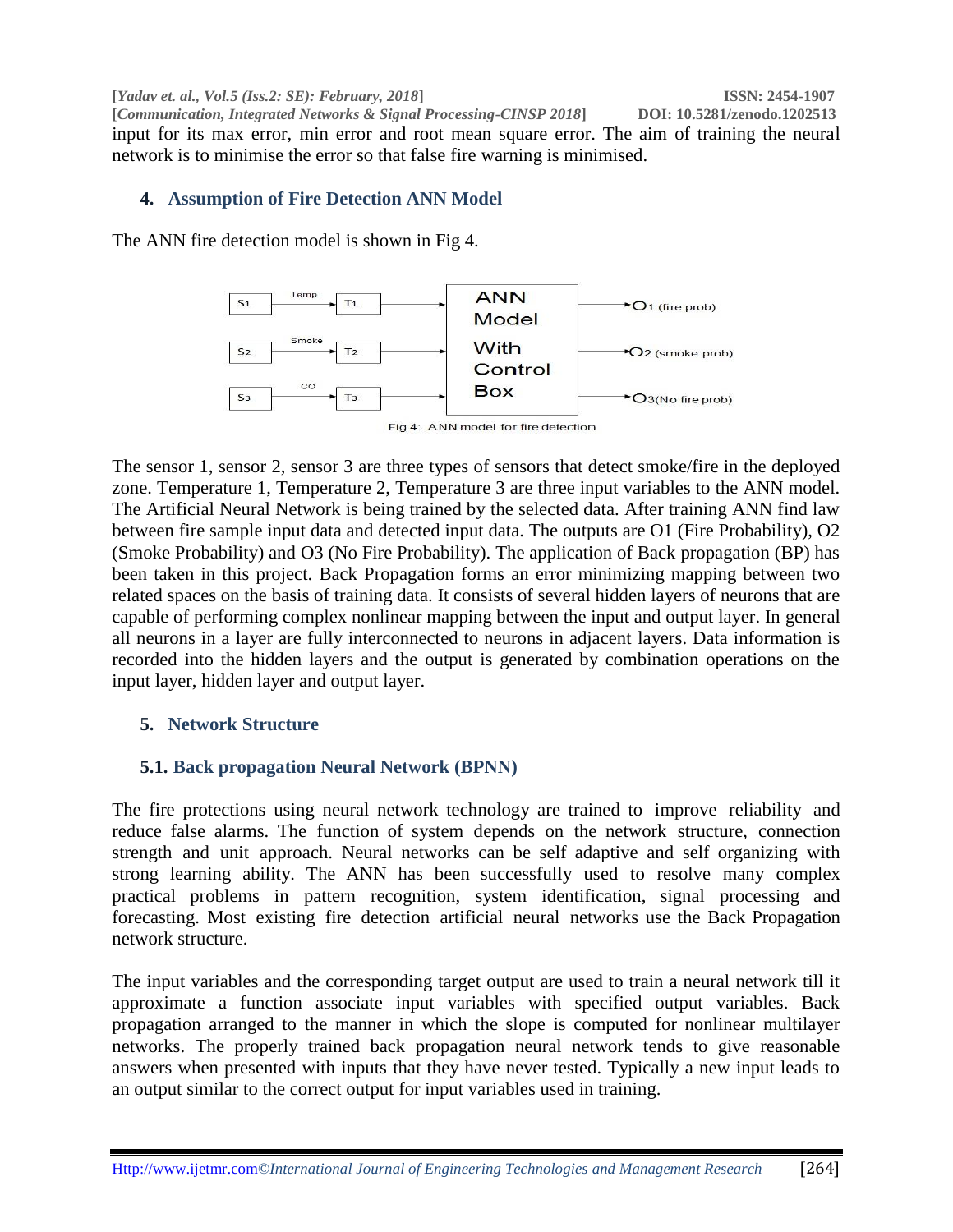**[***Yadav et. al., Vol.5 (Iss.2: SE): February, 2018***] ISSN: 2454-1907 [Communication, Integrated Networks & Signal Processing-CINSP 2018]** input for its max error, min error and root mean square error. The aim of training the neural network is to minimise the error so that false fire warning is minimised.

## **4. Assumption of Fire Detection ANN Model**

The ANN fire detection model is shown in Fig 4.



The sensor 1, sensor 2, sensor 3 are three types of sensors that detect smoke/fire in the deployed zone. Temperature 1, Temperature 2, Temperature 3 are three input variables to the ANN model. The Artificial Neural Network is being trained by the selected data. After training ANN find law between fire sample input data and detected input data. The outputs are O1 (Fire Probability), O2 (Smoke Probability) and O3 (No Fire Probability). The application of Back propagation (BP) has been taken in this project. Back Propagation forms an error minimizing mapping between two related spaces on the basis of training data. It consists of several hidden layers of neurons that are capable of performing complex nonlinear mapping between the input and output layer. In general all neurons in a layer are fully interconnected to neurons in adjacent layers. Data information is recorded into the hidden layers and the output is generated by combination operations on the input layer, hidden layer and output layer.

# **5. Network Structure**

# **5.1. Back propagation Neural Network (BPNN)**

The fire protections using neural network technology are trained to improve reliability and reduce false alarms. The function of system depends on the network structure, connection strength and unit approach. Neural networks can be self adaptive and self organizing with strong learning ability. The ANN has been successfully used to resolve many complex practical problems in pattern recognition, system identification, signal processing and forecasting. Most existing fire detection artificial neural networks use the Back Propagation network structure.

The input variables and the corresponding target output are used to train a neural network till it approximate a function associate input variables with specified output variables. Back propagation arranged to the manner in which the slope is computed for nonlinear multilayer networks. The properly trained back propagation neural network tends to give reasonable answers when presented with inputs that they have never tested. Typically a new input leads to an output similar to the correct output for input variables used in training.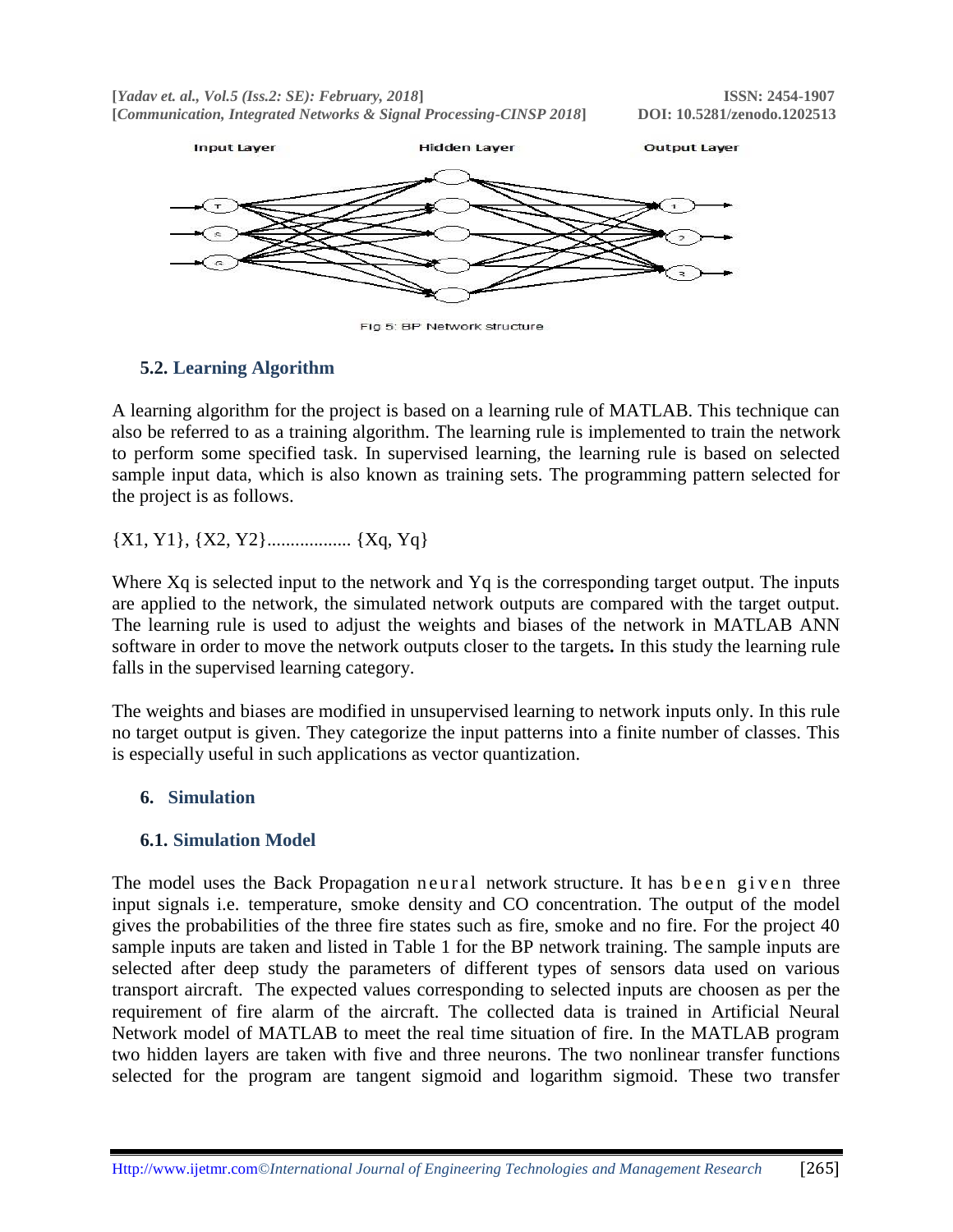**[***Yadav et. al., Vol.5 (Iss.2: SE): February, 2018***] ISSN: 2454-1907 [***Communication, Integrated Networks & Signal Processing-CINSP 2018***] DOI: 10.5281/zenodo.1202513**



Fig 5: BP Network structure

#### **5.2. Learning Algorithm**

A learning algorithm for the project is based on a learning rule of MATLAB. This technique can also be referred to as a training algorithm. The learning rule is implemented to train the network to perform some specified task. In supervised learning, the learning rule is based on selected sample input data, which is also known as training sets. The programming pattern selected for the project is as follows.

{X1, Y1}, {X2, Y2}.................. {Xq, Yq}

Where Xq is selected input to the network and Yq is the corresponding target output. The inputs are applied to the network, the simulated network outputs are compared with the target output. The learning rule is used to adjust the weights and biases of the network in MATLAB ANN software in order to move the network outputs closer to the targets*.* In this study the learning rule falls in the supervised learning category.

The weights and biases are modified in unsupervised learning to network inputs only. In this rule no target output is given. They categorize the input patterns into a finite number of classes. This is especially useful in such applications as vector quantization.

#### **6. Simulation**

#### **6.1. Simulation Model**

The model uses the Back Propagation neural network structure. It has been given three input signals i.e. temperature, smoke density and CO concentration. The output of the model gives the probabilities of the three fire states such as fire, smoke and no fire. For the project 40 sample inputs are taken and listed in Table 1 for the BP network training. The sample inputs are selected after deep study the parameters of different types of sensors data used on various transport aircraft. The expected values corresponding to selected inputs are choosen as per the requirement of fire alarm of the aircraft. The collected data is trained in Artificial Neural Network model of MATLAB to meet the real time situation of fire. In the MATLAB program two hidden layers are taken with five and three neurons. The two nonlinear transfer functions selected for the program are tangent sigmoid and logarithm sigmoid. These two transfer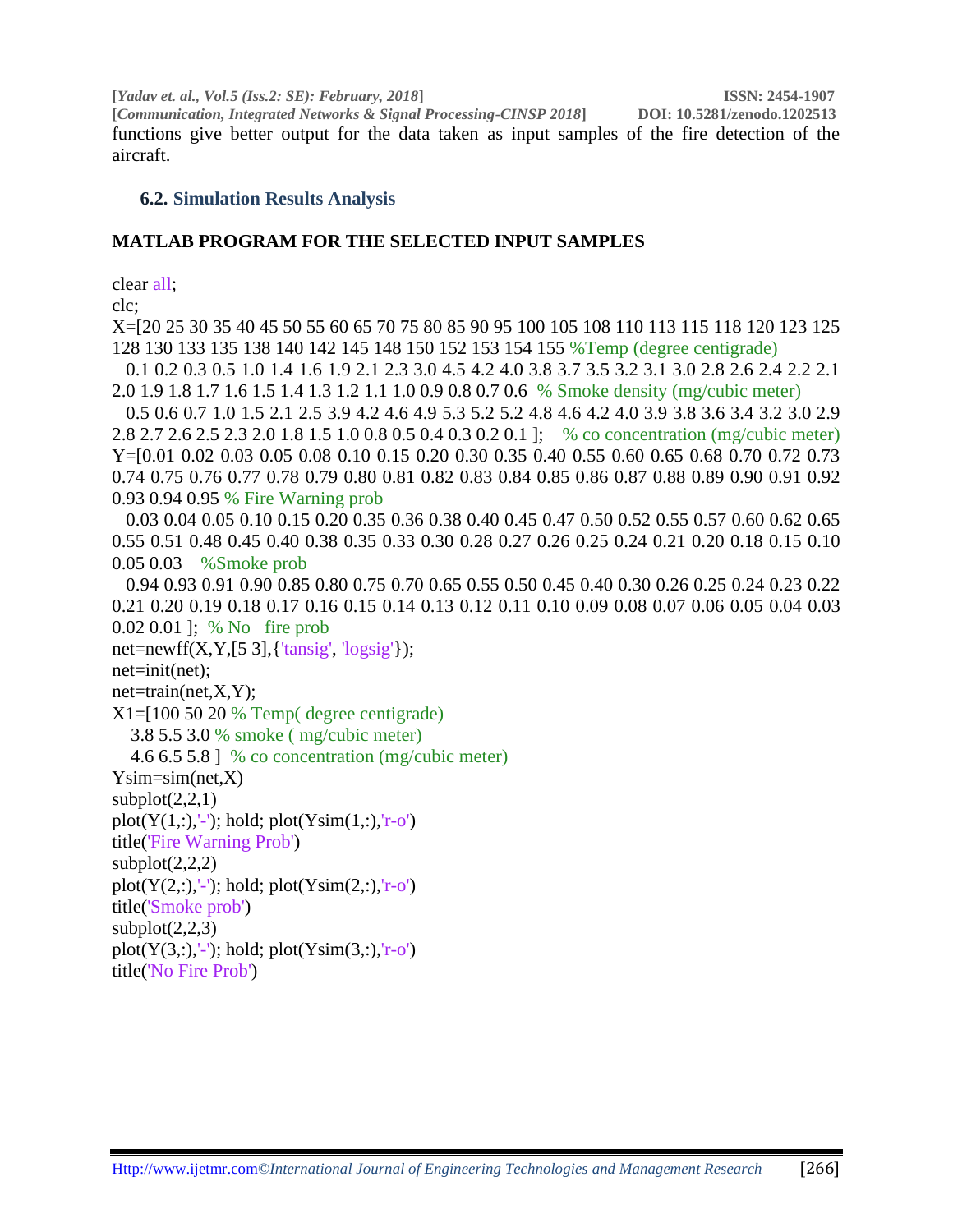**[***Yadav et. al., Vol.5 (Iss.2: SE): February, 2018***] ISSN: 2454-1907 [***Communication, Integrated Networks & Signal Processing-CINSP 2018***] DOI: 10.5281/zenodo.1202513** functions give better output for the data taken as input samples of the fire detection of the aircraft.

#### **6.2. Simulation Results Analysis**

## **MATLAB PROGRAM FOR THE SELECTED INPUT SAMPLES**

clear all;

clc;

X=[20 25 30 35 40 45 50 55 60 65 70 75 80 85 90 95 100 105 108 110 113 115 118 120 123 125 128 130 133 135 138 140 142 145 148 150 152 153 154 155 %Temp (degree centigrade)

 0.1 0.2 0.3 0.5 1.0 1.4 1.6 1.9 2.1 2.3 3.0 4.5 4.2 4.0 3.8 3.7 3.5 3.2 3.1 3.0 2.8 2.6 2.4 2.2 2.1 2.0 1.9 1.8 1.7 1.6 1.5 1.4 1.3 1.2 1.1 1.0 0.9 0.8 0.7 0.6 % Smoke density (mg/cubic meter)

 0.5 0.6 0.7 1.0 1.5 2.1 2.5 3.9 4.2 4.6 4.9 5.3 5.2 5.2 4.8 4.6 4.2 4.0 3.9 3.8 3.6 3.4 3.2 3.0 2.9 2.8 2.7 2.6 2.5 2.3 2.0 1.8 1.5 1.0 0.8 0.5 0.4 0.3 0.2 0.1 ]; % co concentration (mg/cubic meter) Y=[0.01 0.02 0.03 0.05 0.08 0.10 0.15 0.20 0.30 0.35 0.40 0.55 0.60 0.65 0.68 0.70 0.72 0.73 0.74 0.75 0.76 0.77 0.78 0.79 0.80 0.81 0.82 0.83 0.84 0.85 0.86 0.87 0.88 0.89 0.90 0.91 0.92 0.93 0.94 0.95 % Fire Warning prob

 0.03 0.04 0.05 0.10 0.15 0.20 0.35 0.36 0.38 0.40 0.45 0.47 0.50 0.52 0.55 0.57 0.60 0.62 0.65 0.55 0.51 0.48 0.45 0.40 0.38 0.35 0.33 0.30 0.28 0.27 0.26 0.25 0.24 0.21 0.20 0.18 0.15 0.10 0.05 0.03 %Smoke prob

 0.94 0.93 0.91 0.90 0.85 0.80 0.75 0.70 0.65 0.55 0.50 0.45 0.40 0.30 0.26 0.25 0.24 0.23 0.22 0.21 0.20 0.19 0.18 0.17 0.16 0.15 0.14 0.13 0.12 0.11 0.10 0.09 0.08 0.07 0.06 0.05 0.04 0.03 0.02 0.01 ]; % No fire prob

```
net=newff(X, Y, [5 3], {\text{'tansig', 'logsig'}});
```
 $net=init(net);$ 

```
net=train(net, X, Y);
```
X1=[100 50 20 % Temp( degree centigrade)

3.8 5.5 3.0 % smoke ( mg/cubic meter)

4.6 6.5 5.8 ] % co concentration (mg/cubic meter)

 $Ysim=sim(net, X)$ 

 $subplot(2,2,1)$ 

```
plot(Y(1,:),'-'); hold; plot(Ysim(1,:),'r-o')
```
title('Fire Warning Prob')

 $subplot(2,2,2)$ 

```
plot(Y(2,:),'-'); hold; plot(Ysim(2,:),'r-o')
```
title('Smoke prob')

 $subplot(2,2,3)$ 

```
plot(Y(3,:),'-'); hold; plot(Ysim(3,:),'r-o')
```
title('No Fire Prob')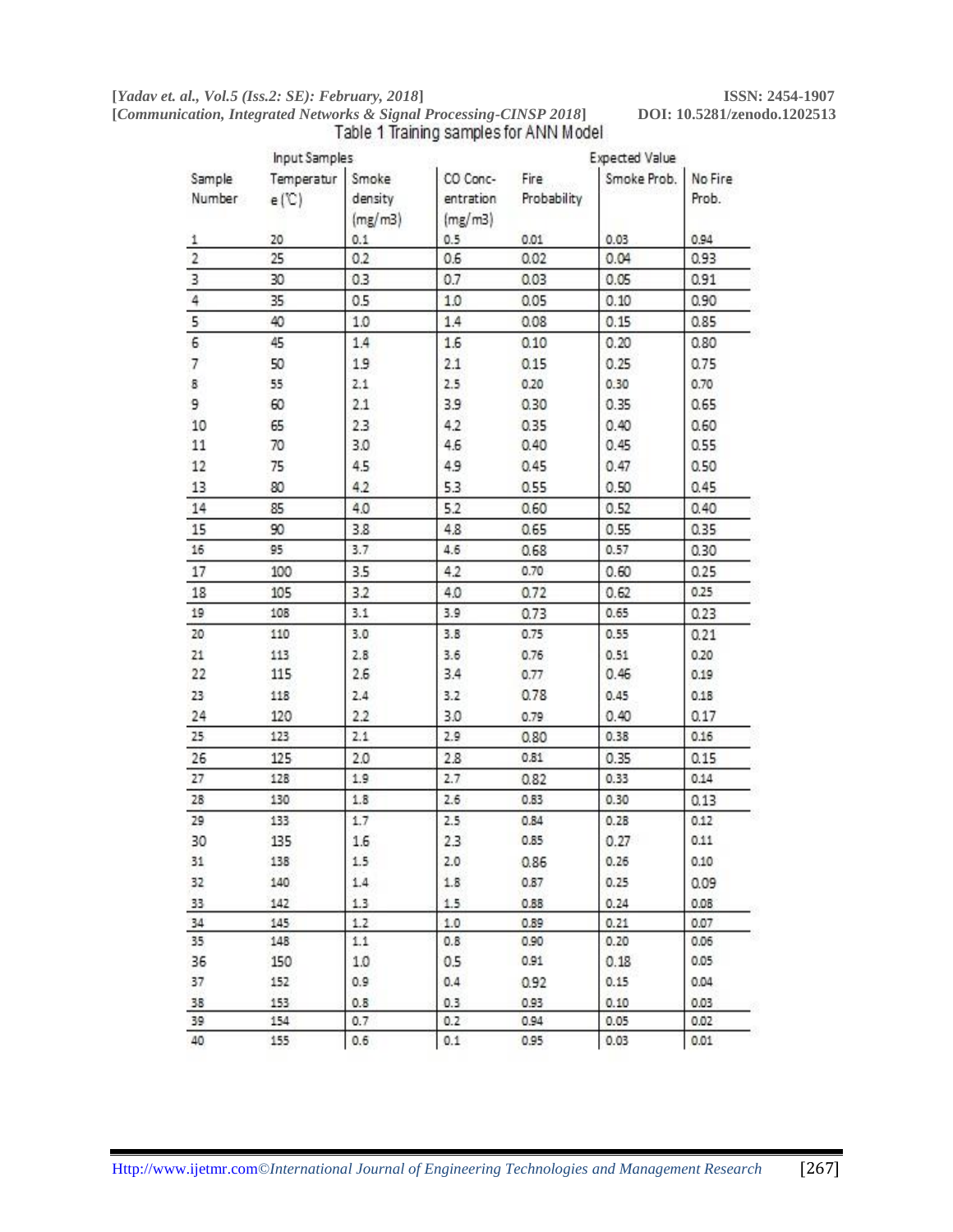**[***Yadav et. al., Vol.5 (Iss.2: SE): February, 2018***] ISSN: 2454-1907**

**Example 2018**<br>**[***Communication, Integrated Networks & Signal Processing-CINSP 2018***]<br><b>DOI: 10.5281/2025131/202513**<br>**Table 1 Training samples for ANN Model** 

|                         | Input Samples      |                             |                                  | Expected Value      |             |                  |
|-------------------------|--------------------|-----------------------------|----------------------------------|---------------------|-------------|------------------|
| Sample<br>Number        | Temperatur<br>e(C) | Smoke<br>density<br>(mg/m3) | CO Conc-<br>entration<br>(mg/m3) | Fire<br>Probability | Smoke Prob. | No Fire<br>Prob. |
| $\overline{1}$          | 20                 | 0.1                         | 0.5                              | 0.01                | 0.03        | 0.94             |
| $\overline{\mathbf{c}}$ | 25                 | 0.2                         | 0.6                              | 0.02                | 0.04        | 0.93             |
| 3                       | 30                 | 0.3                         | 0.7                              | 0.03                | 0.05        | 0.91             |
| 4                       | 35                 | 0.5                         | 1.0                              | 0.05                | 0.10        | 0.90             |
| $rac{5}{6}$             | 40                 | 1.0                         | 1.4                              | 0.08                | 0.15        | 0.85             |
|                         | 45                 | 1.4                         | 1.6                              | 0.10                | 0.20        | 0.80             |
| $\overline{7}$          | 50                 | 1.9                         | 2.1                              | 0.15                | 0.25        | 0.75             |
| 8                       | 55                 | 2.1                         | 2.5                              | 0.20                | 0.30        | 0.70             |
| 9                       | 60                 | 2.1                         | 3.9                              | 0.30                | 0.35        | 0.65             |
| 10                      | 65                 | 2.3                         | 4.2                              | 0.35                | 0.40        | 0.60             |
| 11                      | 70                 | 3.0                         | 4.6                              | 0.40                | 0.45        | 0.55             |
| 12                      | 75                 | 4.5                         | 4.9                              | 0.45                | 0.47        | 0.50             |
| 13                      | 80                 | 4.2                         | 5.3                              | 0.55                | 0.50        | 0.45             |
| 14                      | 85                 | 4.0                         | 5.2                              | 0.60                | 0.52        | 0.40             |
| 15                      | 90                 | 3.8                         | 4.8                              | 0.65                | 0.55        | 0.35             |
| 16                      | 95                 | 3.7                         | 4.6                              | 0.68                | 0.57        | 0.30             |
| 17                      | 100                | 3.5                         | 4.2                              | 0.70                | 0.60        | 0.25             |
| 18                      | 105                | 3.2                         | 4.0                              | 0.72                | 0.62        | 0.25             |
| 19                      | 108                | 3.1                         | 3.9                              | 0.73                | 0.65        | 0.23             |
| 20                      | 110                | 3.0                         | 3.8                              | 0.75                | 0.55        | 0.21             |
| 21                      | 113                | 2.8                         | 3.6                              | 0.76                | 0.51        | 0.20             |
| 22                      | 115                | 2.6                         | 3.4                              | 0.77                | 0.46        | 0.19             |
| 23                      | 118                | 2.4                         | 3.2                              | 0.78                | 0.45        | 0.18             |
| 24                      | 120                | 2.2                         | 3.0                              | 0.79                | 0.40        | 0.17             |
| 25                      | 123                | 2.1                         | 2.9                              | 0.80                | 0.38        | 0.16             |
| 26                      | 125                | 2.0                         | 2.8                              | 0.81                | 0.35        | 0.15             |
| 27                      | 128                | 1.9                         | 2.7                              | 0.82                | 0.33        | 0.14             |
| 28                      | 130                | 1.8                         | 2.6                              | 0.83                | 0.30        | 0.13             |
| 29                      | 133                | 1.7                         | 2.5                              | 0.84                | 0.28        | 0.12             |
| 30                      | 135                | 1.6                         | 2.3                              | 0.85                | 0.27        | 0.11             |
| 31                      | 138                | 1.5                         | 2.0                              | 0.86                | 0.26        | 0.10             |
| 32                      | 140                | 1.4                         | 1.8                              | 0.87                | 0.25        | 0.09             |
| 33                      | 142                | 1.3                         | 1.5                              | 0.88                | 0.24        | 0.08             |
| 34                      | 145                | 1.2                         | 1.0                              | 0.89                | 0.21        | 0.07             |
| 35                      | 148                | 1.1                         | 0.8                              | 0.90                | 0.20        | 0.06             |
| 36                      | 150                | 1.0                         | 0.5                              | 0.91                | 0.18        | 0.05             |
| 37                      | 152                | 0.9                         | 0.4                              | 0.92                | 0.15        | 0.04             |
| 38                      | 153                | 0.8                         | 0.3                              | 0.93                | 0.10        | 0.03             |
| 39                      | 154                | 0.7                         | 0.2                              | 0.94                | 0.05        | 0.02             |
| 40                      | 155                | 0.6                         | 0.1                              | 0.95                | 0.03        | 0.01             |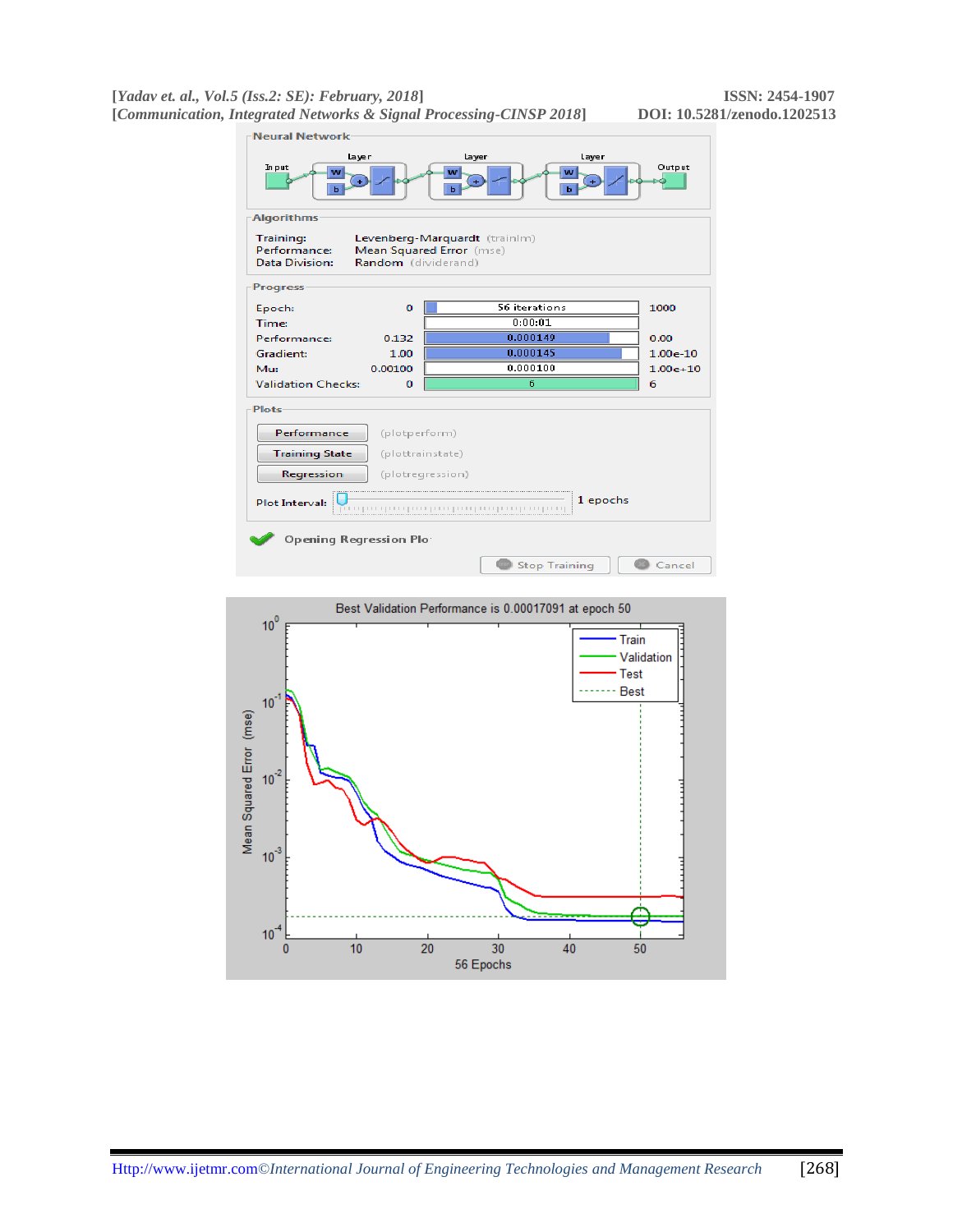**[***Yadav et. al., Vol.5 (Iss.2: SE): February, 2018***] ISSN: 2454-1907 [***Communication, Integrated Networks & Signal Processing-CINSP 2018***] DOI: 10.5281/zenodo.1202513**



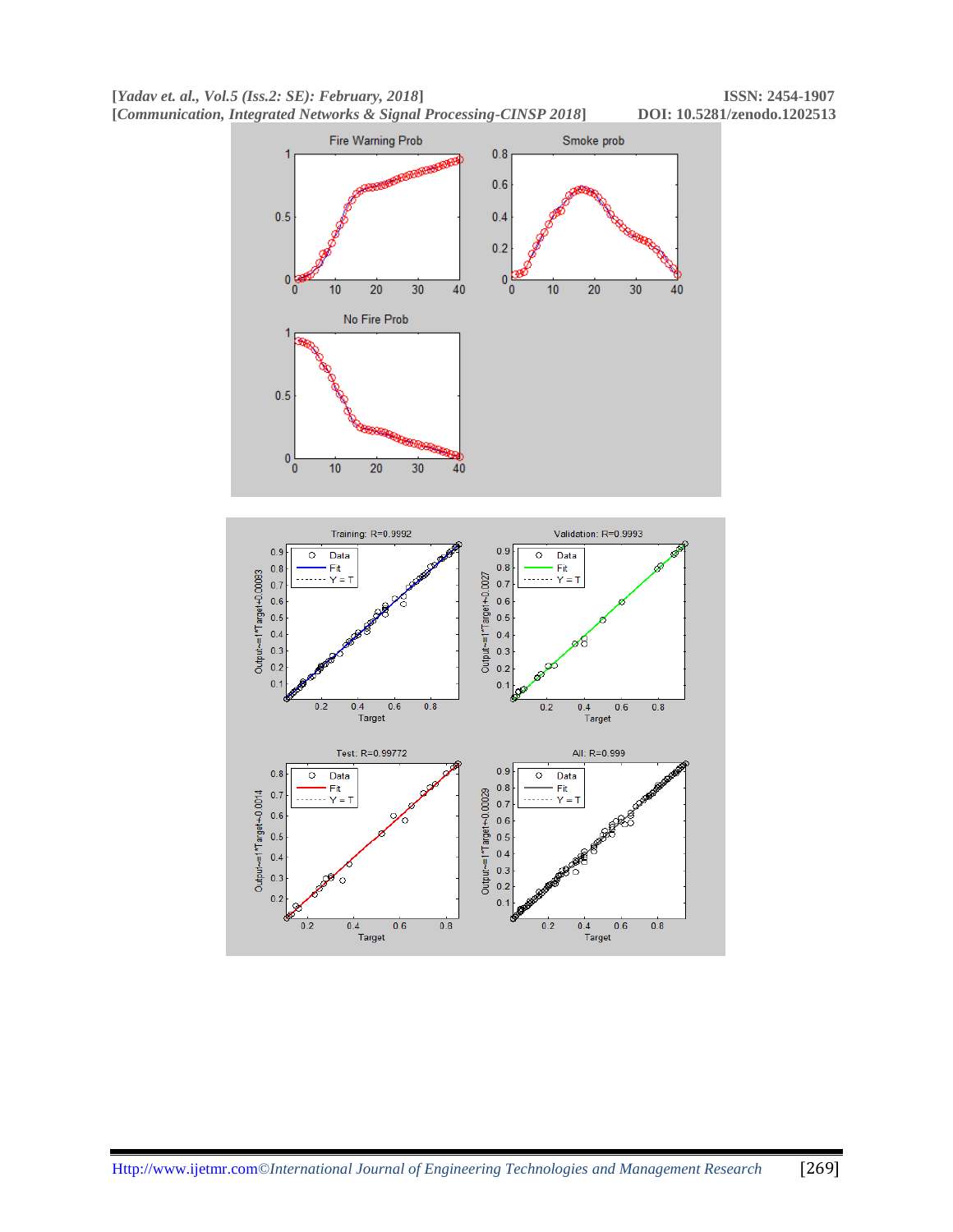**[***Yadav et. al., Vol.5 (Iss.2: SE): February, 2018***] ISSN: 2454-1907 [Communication, Integrated Networks & Signal Processing-CINSP 2018]** 

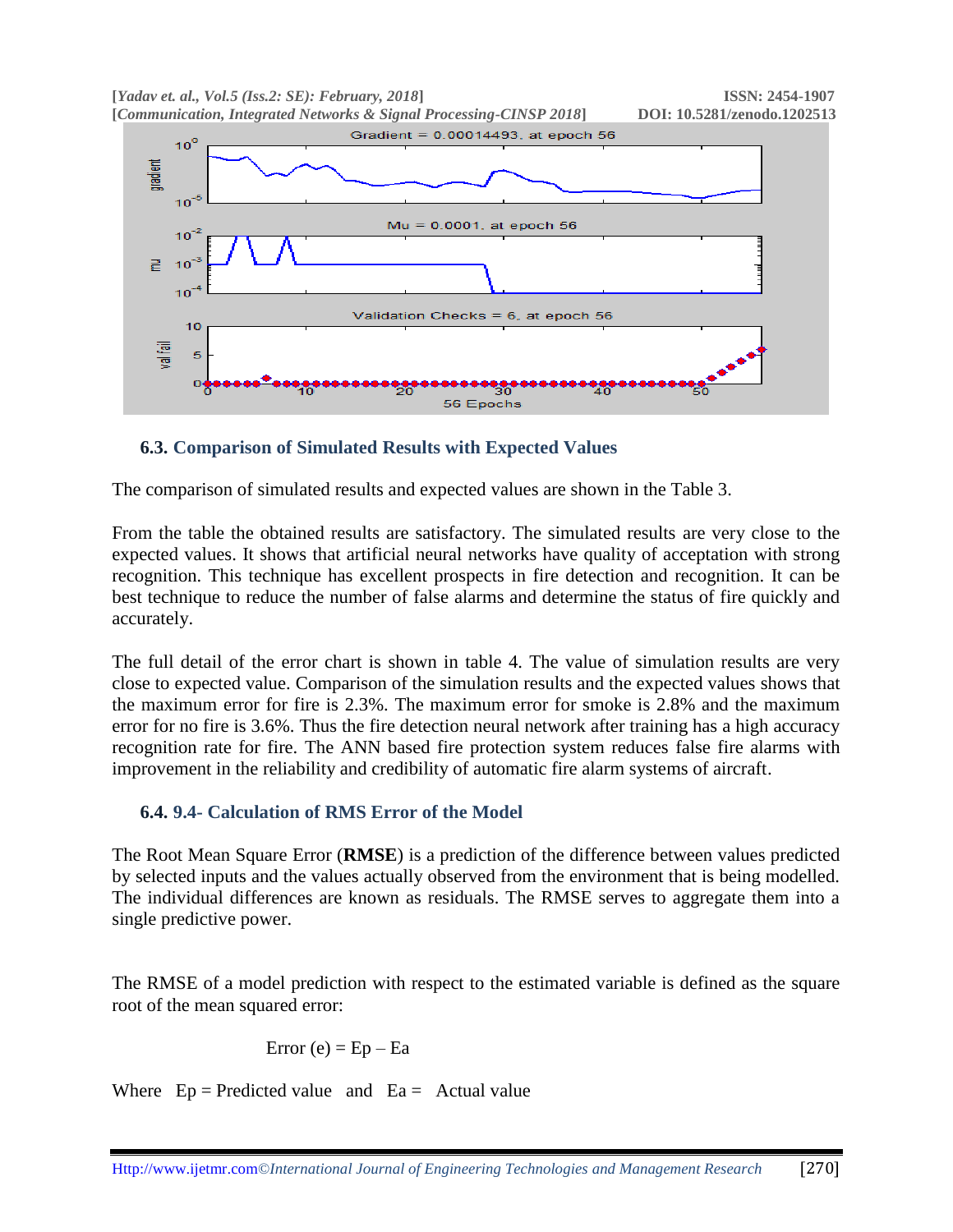**[***Yadav et. al., Vol.5 (Iss.2: SE): February, 2018***] ISSN: 2454-1907**



# **6.3. Comparison of Simulated Results with Expected Values**

The comparison of simulated results and expected values are shown in the Table 3.

From the table the obtained results are satisfactory. The simulated results are very close to the expected values. It shows that artificial neural networks have quality of acceptation with strong recognition. This technique has excellent prospects in fire detection and recognition. It can be best technique to reduce the number of false alarms and determine the status of fire quickly and accurately.

The full detail of the error chart is shown in table 4. The value of simulation results are very close to expected value. Comparison of the simulation results and the expected values shows that the maximum error for fire is 2.3%. The maximum error for smoke is 2.8% and the maximum error for no fire is 3.6%. Thus the fire detection neural network after training has a high accuracy recognition rate for fire. The ANN based fire protection system reduces false fire alarms with improvement in the reliability and credibility of automatic fire alarm systems of aircraft.

# **6.4. 9.4- Calculation of RMS Error of the Model**

The Root Mean Square Error (**RMSE**) is a prediction of the difference between values predicted by selected inputs and the values actually observed from the environment that is being modelled. The individual differences are known as residuals. The RMSE serves to aggregate them into a single predictive power.

The RMSE of a model prediction with respect to the estimated variable is defined as the square root of the mean squared error:

$$
Error (e) = Ep - Ea
$$

Where  $Ep = Predicted value$  and  $Ea = Actual value$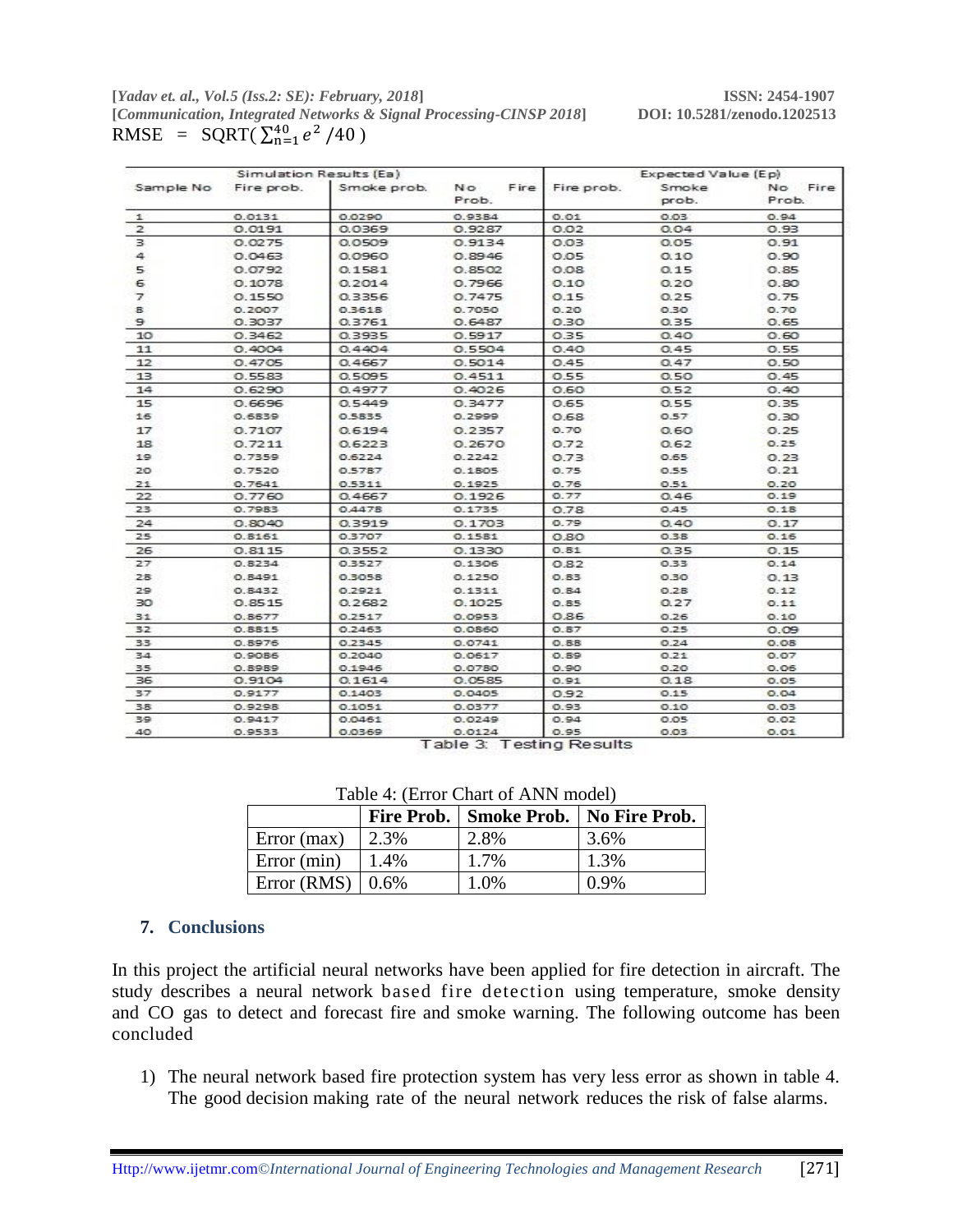**[***Yadav et. al., Vol.5 (Iss.2: SE): February, 2018***] ISSN: 2454-1907 [***Communication, Integrated Networks & Signal Processing-CINSP 2018***] DOI: 10.5281/zenodo.1202513** RMSE = SQRT( $\sum_{n=1}^{40} e^2 / 40$ )

|                | Simulation Results (Ea) |             |                     |            | Expected Value (Ep) |             |
|----------------|-------------------------|-------------|---------------------|------------|---------------------|-------------|
| Sample No      | Fire prob.              | Smoke prob. | No<br>Fire<br>Prob. | Fire prob. | Smoke<br>prob.      | Fire<br>No. |
|                |                         |             |                     |            |                     | Prob.       |
| $\mathbf{1}$   | 0.0131                  | 0.0290      | 0.9384              | 0.01       | 0.03                | 0.94        |
| $\overline{2}$ | 0.0191                  | 0.0369      | 0.9287              | 0.02       | 0.04                | 0.93        |
| з              | 0.0275                  | 0.0509      | 0.9134              | 0.03       | 0.05                | 0.91        |
| 4              | 0.0463                  | 0.0960      | 0.8946              | 0.05       | 0.10                | 0.90        |
| 5              | 0.0792                  | 0.1581      | 0.8502              | 0.08       | 0.15                | 0.85        |
| 6              | 0.1078                  | 0.2014      | 0.7966              | 0.10       | 0.20                | 0.80        |
| $\overline{ }$ | 0.1550                  | 0.3356      | 0.7475              | 0.15       | 0.25                | 0.75        |
| в              | 0.2007                  | 0.3618      | 0.7050              | 0.20       | 0.30                | 0.70        |
| э              | 0.3037                  | 0.3761      | 0.6487              | 0.30       | 0.35                | 0.65        |
| 10             | 0.3462                  | 0.3935      | 0.5917              | 0.35       | 0.40                | 0.60        |
| 11             | 0.4004                  | 0.4404      | 0.5504              | 0.40       | 0.45                | 0.55        |
| 12             | 0.4705                  | 0.4667      | 0.5014              | 0.45       | 0.47                | 0.50        |
| 13             | 0.5583                  | 0.5095      | 0.4511              | 0.55       | 0.50                | 0.45        |
| 14             | 0.6290                  | 0.4977      | 0.4026              | 0.60       | 0.52                | 0.40        |
| 15             | 0.6696                  | 0.5449      | 0.3477              | 0.65       | 0.55                | 0.35        |
| 16             | 0.6839                  | 0.5835      | 0.2999              | 0.68       | 0.57                | 0.30        |
| 17             | 0.7107                  | 0.6194      | 0.2357              | 0.70       | 0.60                | 0.25        |
| 18             | 0.7211                  | 0.6223      | 0.2670              | 0.72       | 0.62                | 0.25        |
| 19             | 0.7359                  | 0.6224      | 0.2242              | 0.73       | 0.65                | 0.23        |
| 20             | 0.7520                  | 0.5787      | 0.1805              | 0.75       | 0.55                | 0.21        |
| 21             | 0.7641                  | 0.5311      | 0.1925              | 0.76       | 0.51                | 0.20        |
| 22             | 0.7760                  | 0.4667      | 0.1926              | 0.77       | 0.46                | 0.19        |
| 23             | 0.7983                  | 0.4478      | 0.1735              | 0.78       | 0.45                | 0.18        |
| 24             | 0.8040                  | 0.3919      | 0.1703              | 0.79       | 0.40                | 0.17        |
| 25             | 0.8161                  | 0.3707      | 0.1581              | 0.80       | 0.38                | 0.16        |
| 26             | 0.8115                  | 0.3552      | 0.1330              | 0.81       | 0.35                | 0.15        |
| 27             | 0.8234                  | 0.3527      | 0.1306              | 0.82       | 0.33                | 0.14        |
| 28             | 0.8491                  | 0.3058      | 0.1250              | 0.83       | 0.30                | 0.13        |
| 29             | 0.8432                  | 0.2921      | 0.1311              | 0.84       | 0.28                | 0.12        |
| 30             | 0.8515                  | 0.2682      | 0.1025              | 0.85       | 0.27                | 0.11        |
| 31             | 0.8677                  | 0.2517      | 0.0953              | 0.86       | 0.26                | 0.10        |
| 32             | 0.8815                  | 0.2463      | 0.0860              | 0.87       | 0.25                | 0.09        |
| 33             | 0.8976                  | 0.2345      | 0.0741              | 0.88       | 0.24                | 0.08        |
| 34             | 0.9086                  | 0.2040      | 0.0617              | 0.89       | 0.21                | 0.07        |
| 35             | 0.8989                  | 0.1946      | 0.0780              | 0.90       | 0.20                | 0.06        |
| 36             | 0.9104                  | 0.1614      | 0.0585              | 0.91       | 0.18                | 0.05        |
| 37             | 0.9177                  | 0.1403      | 0.0405              | 0.92       | 0.15                | 0.04        |
| 38             | 0.9298                  | 0.1051      | 0.0377              | 0.93       | 0.10                | 0.03        |
| 39             | 0.9417                  | 0.0461      | 0.0249              | 0.94       | 0.05                | 0.02        |
| 40             | 0.9533                  | 0.0369      | 0.0124              | 0.95       | 0.03                | 0.01        |

Table 3: Testing Results

Table 4: (Error Chart of ANN model)

|             |         |      | Fire Prob.   Smoke Prob.   No Fire Prob. |
|-------------|---------|------|------------------------------------------|
| Error(max)  | 2.3%    | 2.8% | 3.6%                                     |
| Error (min) | 1.4%    | 1.7% | 1.3%                                     |
| Error (RMS) | $0.6\%$ | 1.0% | 0.9%                                     |

#### **7. Conclusions**

In this project the artificial neural networks have been applied for fire detection in aircraft. The study describes a neural network based fire detection using temperature, smoke density and CO gas to detect and forecast fire and smoke warning. The following outcome has been concluded

1) The neural network based fire protection system has very less error as shown in table 4. The good decision making rate of the neural network reduces the risk of false alarms.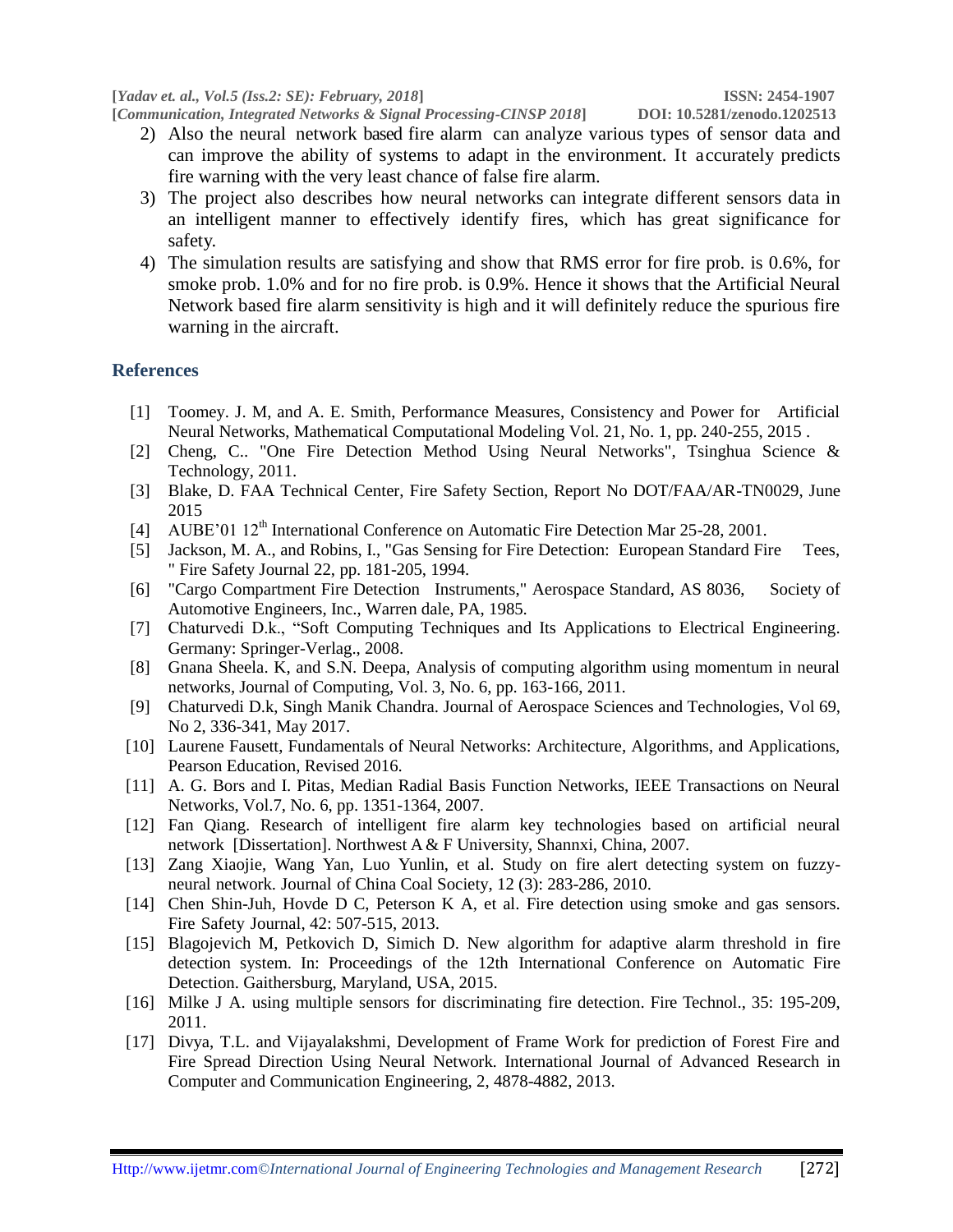- 2) Also the neural network based fire alarm can analyze various types of sensor data and can improve the ability of systems to adapt in the environment. It accurately predicts fire warning with the very least chance of false fire alarm.
- 3) The project also describes how neural networks can integrate different sensors data in an intelligent manner to effectively identify fires, which has great significance for safety.
- 4) The simulation results are satisfying and show that RMS error for fire prob. is 0.6%, for smoke prob. 1.0% and for no fire prob. is 0.9%. Hence it shows that the Artificial Neural Network based fire alarm sensitivity is high and it will definitely reduce the spurious fire warning in the aircraft.

## **References**

- [1] Toomey. J. M, and A. E. Smith, Performance Measures, Consistency and Power for Artificial Neural Networks, Mathematical Computational Modeling Vol. 21, No. 1, pp. 240-255, 2015 .
- [2] Cheng, C.. "One Fire Detection Method Using Neural Networks", Tsinghua Science & Technology, 2011.
- [3] Blake, D. FAA Technical Center, Fire Safety Section, Report No DOT/FAA/AR-TN0029, June 2015
- [4] AUBE'01 12<sup>th</sup> International Conference on Automatic Fire Detection Mar 25-28, 2001.
- [5] Jackson, M. A., and Robins, I., "Gas Sensing for Fire Detection: European Standard Fire Tees, " Fire Safety Journal 22, pp. 181-205, 1994.
- [6] "Cargo Compartment Fire Detection Instruments," Aerospace Standard, AS 8036, Society of Automotive Engineers, Inc., Warren dale, PA, 1985.
- [7] Chaturvedi D.k., "Soft Computing Techniques and Its Applications to Electrical Engineering. Germany: Springer-Verlag., 2008.
- [8] Gnana Sheela. K, and S.N. Deepa, Analysis of computing algorithm using momentum in neural networks, Journal of Computing, Vol. 3, No. 6, pp. 163-166, 2011.
- [9] Chaturvedi D.k, Singh Manik Chandra. Journal of Aerospace Sciences and Technologies, Vol 69, No 2, 336-341, May 2017.
- [10] Laurene Fausett, Fundamentals of Neural Networks: Architecture, Algorithms, and Applications, Pearson Education, Revised 2016.
- [11] A. G. Bors and I. Pitas, Median Radial Basis Function Networks, IEEE Transactions on Neural Networks, Vol.7, No. 6, pp. 1351-1364, 2007.
- [12] Fan Qiang. Research of intelligent fire alarm key technologies based on artificial neural network [Dissertation]. Northwest A& F University, Shannxi, China, 2007.
- [13] Zang Xiaojie, Wang Yan, Luo Yunlin, et al. Study on fire alert detecting system on fuzzyneural network. Journal of China Coal Society, 12 (3): 283-286, 2010.
- [14] Chen Shin-Juh, Hovde D C, Peterson K A, et al. Fire detection using smoke and gas sensors. Fire Safety Journal, 42: 507-515, 2013.
- [15] Blagojevich M, Petkovich D, Simich D. New algorithm for adaptive alarm threshold in fire detection system. In: Proceedings of the 12th International Conference on Automatic Fire Detection. Gaithersburg, Maryland, USA, 2015.
- [16] Milke J A. using multiple sensors for discriminating fire detection. Fire Technol., 35: 195-209, 2011.
- [17] Divya, T.L. and Vijayalakshmi, Development of Frame Work for prediction of Forest Fire and Fire Spread Direction Using Neural Network. International Journal of Advanced Research in Computer and Communication Engineering, 2, 4878-4882, 2013.